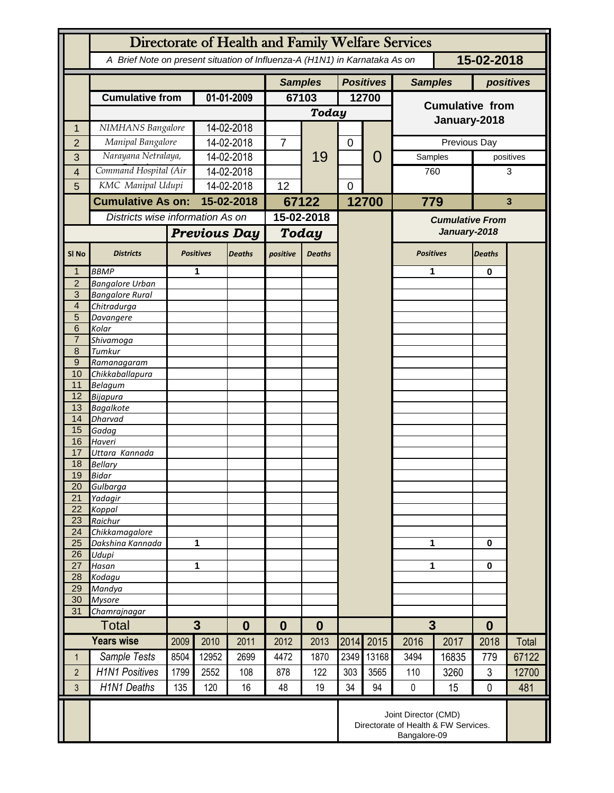|                                  | Directorate of Health and Family Welfare Services                                        |                          |                     |               |                |               |             |                  |                                        |       |               |       |
|----------------------------------|------------------------------------------------------------------------------------------|--------------------------|---------------------|---------------|----------------|---------------|-------------|------------------|----------------------------------------|-------|---------------|-------|
|                                  | A Brief Note on present situation of Influenza-A (H1N1) in Karnataka As on<br>15-02-2018 |                          |                     |               |                |               |             |                  |                                        |       |               |       |
|                                  |                                                                                          |                          |                     |               | <b>Samples</b> |               |             | <b>Positives</b> | <b>Samples</b>                         |       | positives     |       |
|                                  | <b>Cumulative from</b>                                                                   |                          | 01-01-2009          |               | 67103          |               | 12700       |                  | <b>Cumulative from</b>                 |       |               |       |
|                                  |                                                                                          |                          |                     |               | <b>Today</b>   |               |             |                  |                                        |       |               |       |
| 1                                | NIMHANS Bangalore                                                                        |                          | 14-02-2018          |               |                |               |             |                  | January-2018                           |       |               |       |
| $\overline{2}$                   | Manipal Bangalore                                                                        |                          | 14-02-2018          |               | $\overline{7}$ |               | $\mathbf 0$ |                  |                                        |       | Previous Day  |       |
| 3                                |                                                                                          | Narayana Netralaya,      |                     | 14-02-2018    |                | 19            |             | 0                | Samples                                |       | positives     |       |
| 4                                |                                                                                          | Command Hospital (Air    |                     | 14-02-2018    |                |               |             |                  | 760                                    |       | 3             |       |
| 5                                |                                                                                          | KMC Manipal Udupi        |                     | 14-02-2018    |                |               | 0           |                  |                                        |       |               |       |
|                                  |                                                                                          | <b>Cumulative As on:</b> |                     | 15-02-2018    |                | 67122         |             | 12700            | 779                                    |       | $\mathbf{3}$  |       |
|                                  | Districts wise information As on                                                         |                          |                     |               | 15-02-2018     |               |             |                  |                                        |       |               |       |
|                                  |                                                                                          |                          |                     |               | Today          |               |             |                  | <b>Cumulative From</b><br>January-2018 |       |               |       |
|                                  |                                                                                          |                          | <b>Previous Day</b> |               |                |               |             |                  |                                        |       |               |       |
| SI <sub>No</sub>                 | <b>Districts</b>                                                                         |                          | <b>Positives</b>    | <b>Deaths</b> | positive       | <b>Deaths</b> |             |                  | <b>Positives</b>                       |       | <b>Deaths</b> |       |
| 1                                | <b>BBMP</b>                                                                              |                          | 1                   |               |                |               |             |                  | 1                                      |       | $\bf{0}$      |       |
| $\overline{2}$<br>$\overline{3}$ | <b>Bangalore Urban</b>                                                                   |                          |                     |               |                |               |             |                  |                                        |       |               |       |
| $\overline{4}$                   | <b>Bangalore Rural</b><br>Chitradurga                                                    |                          |                     |               |                |               |             |                  |                                        |       |               |       |
| 5                                | Davangere                                                                                |                          |                     |               |                |               |             |                  |                                        |       |               |       |
| 6                                | Kolar                                                                                    |                          |                     |               |                |               |             |                  |                                        |       |               |       |
| $\overline{7}$                   | Shivamoga                                                                                |                          |                     |               |                |               |             |                  |                                        |       |               |       |
| 8                                | Tumkur                                                                                   |                          |                     |               |                |               |             |                  |                                        |       |               |       |
| $9\,$                            | Ramanagaram                                                                              |                          |                     |               |                |               |             |                  |                                        |       |               |       |
| 10<br>11                         | Chikkaballapura<br><b>Belagum</b>                                                        |                          |                     |               |                |               |             |                  |                                        |       |               |       |
| 12                               | Bijapura                                                                                 |                          |                     |               |                |               |             |                  |                                        |       |               |       |
| 13                               | <b>Bagalkote</b>                                                                         |                          |                     |               |                |               |             |                  |                                        |       |               |       |
| 14                               | Dharvad                                                                                  |                          |                     |               |                |               |             |                  |                                        |       |               |       |
| 15                               | Gadag                                                                                    |                          |                     |               |                |               |             |                  |                                        |       |               |       |
| 16                               | Haveri                                                                                   |                          |                     |               |                |               |             |                  |                                        |       |               |       |
| 17<br>18                         | Uttara Kannada                                                                           |                          |                     |               |                |               |             |                  |                                        |       |               |       |
| 19                               | <b>Bellary</b><br>Bidar                                                                  |                          |                     |               |                |               |             |                  |                                        |       |               |       |
| 20                               | Gulbarga                                                                                 |                          |                     |               |                |               |             |                  |                                        |       |               |       |
| 21                               | Yadagir                                                                                  |                          |                     |               |                |               |             |                  |                                        |       |               |       |
| 22                               | Koppal                                                                                   |                          |                     |               |                |               |             |                  |                                        |       |               |       |
| 23                               | Raichur                                                                                  |                          |                     |               |                |               |             |                  |                                        |       |               |       |
| $\overline{24}$<br>25            | Chikkamagalore<br>Dakshina Kannada                                                       | 1                        |                     |               |                |               |             |                  |                                        |       | 0             |       |
| 26                               | Udupi                                                                                    |                          |                     |               |                |               |             |                  | 1                                      |       |               |       |
| 27                               | Hasan                                                                                    | 1                        |                     |               |                |               |             |                  | 1                                      |       | 0             |       |
| 28                               | Kodagu                                                                                   |                          |                     |               |                |               |             |                  |                                        |       |               |       |
| 29                               | Mandya                                                                                   |                          |                     |               |                |               |             |                  |                                        |       |               |       |
| 30                               | <b>Mysore</b>                                                                            |                          |                     |               |                |               |             |                  |                                        |       |               |       |
| 31                               | Chamrajnagar<br>Total                                                                    |                          | $3\phantom{a}$      |               |                |               |             |                  | 3                                      |       |               |       |
|                                  |                                                                                          |                          | $\bf{0}$            |               | $\bf{0}$       | $\bf{0}$      |             |                  |                                        |       | $\bf{0}$      |       |
|                                  | <b>Years wise</b>                                                                        | 2009                     | 2010                | 2011          | 2012           | 2013          | 2014        | 2015             | 2016                                   | 2017  | 2018          | Total |
| 1                                | Sample Tests                                                                             | 8504                     | 12952               | 2699          | 4472           | 1870          | 2349        | 13168            | 3494                                   | 16835 | 779           | 67122 |
| $\overline{2}$                   | <b>H1N1 Positives</b>                                                                    | 1799                     | 2552                | 108           | 878            | 122           | 303         | 3565             | 110                                    | 3260  | 3             | 12700 |
| 3                                | <b>H1N1 Deaths</b>                                                                       | 135                      | 120                 | 16            | 48             | 19            | 34          | 94               | $\pmb{0}$                              | 15    | $\mathbf 0$   | 481   |
|                                  | Joint Director (CMD)<br>Directorate of Health & FW Services.<br>Bangalore-09             |                          |                     |               |                |               |             |                  |                                        |       |               |       |